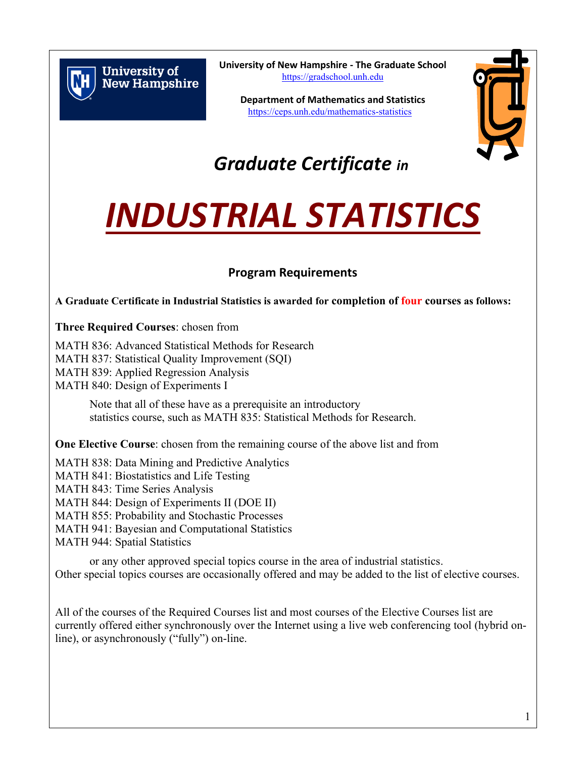

**University of New Hampshire**  **University of New Hampshire - The Graduate School** [https://gradschool.unh.edu](https://gradschool.unh.edu/)

**Department of Mathematics and Statistics** <https://ceps.unh.edu/mathematics-statistics>



# *Graduate Certificate in*

# *INDUSTRIAL STATISTICS*

# **Program Requirements**

**A Graduate Certificate in Industrial Statistics is awarded for completion of four courses as follows:**

**Three Required Courses**: chosen from

MATH 836: Advanced Statistical Methods for Research MATH 837: Statistical Quality Improvement (SQI) MATH 839: Applied Regression Analysis MATH 840: Design of Experiments I

> Note that all of these have as a prerequisite an introductory statistics course, such as MATH 835: Statistical Methods for Research.

**One Elective Course**: chosen from the remaining course of the above list and from

MATH 838: Data Mining and Predictive Analytics MATH 841: Biostatistics and Life Testing MATH 843: Time Series Analysis MATH 844: Design of Experiments II (DOE II) MATH 855: Probability and Stochastic Processes MATH 941: Bayesian and Computational Statistics MATH 944: Spatial Statistics

or any other approved special topics course in the area of industrial statistics. Other special topics courses are occasionally offered and may be added to the list of elective courses.

All of the courses of the Required Courses list and most courses of the Elective Courses list are currently offered either synchronously over the Internet using a live web conferencing tool (hybrid online), or asynchronously ("fully") on-line.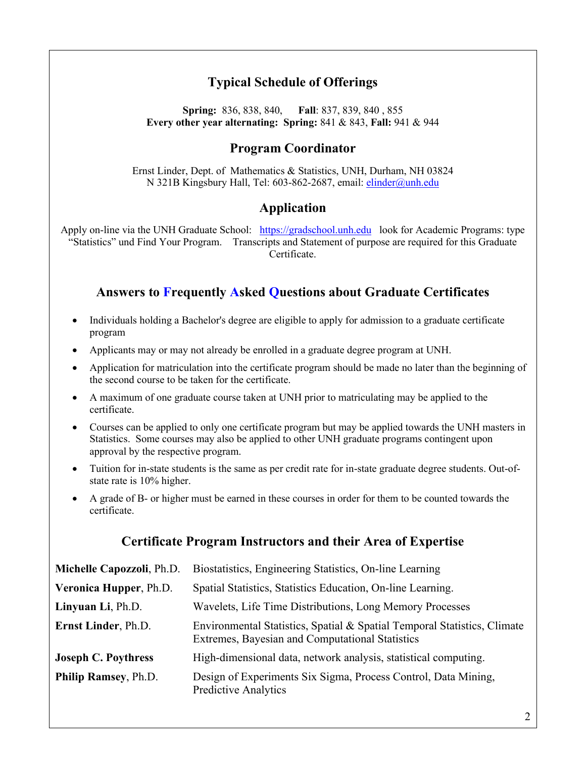## **Typical Schedule of Offerings**

**Spring:** 836, 838, 840, **Fall**: 837, 839, 840 , 855 **Every other year alternating: Spring:** 841 & 843, **Fall:** 941 & 944

#### **Program Coordinator**

Ernst Linder, Dept. of Mathematics & Statistics, UNH, Durham, NH 03824 N 321B Kingsbury Hall, Tel: 603-862-2687, email: [elinder@unh.edu](mailto:elinder@unh.edu)

#### **Application**

Apply on-line via the UNH Graduate School: [https://gradschool.unh.edu](https://gradschool.unh.edu/) look for Academic Programs: type "Statistics" und Find Your Program. Transcripts and Statement of purpose are required for this Graduate Certificate.

#### **Answers to Frequently Asked Questions about Graduate Certificates**

- Individuals holding a Bachelor's degree are eligible to apply for admission to a graduate certificate program
- Applicants may or may not already be enrolled in a graduate degree program at UNH.
- Application for matriculation into the certificate program should be made no later than the beginning of the second course to be taken for the certificate.
- A maximum of one graduate course taken at UNH prior to matriculating may be applied to the certificate.
- Courses can be applied to only one certificate program but may be applied towards the UNH masters in Statistics. Some courses may also be applied to other UNH graduate programs contingent upon approval by the respective program.
- Tuition for in-state students is the same as per credit rate for in-state graduate degree students. Out-ofstate rate is 10% higher.
- A grade of B- or higher must be earned in these courses in order for them to be counted towards the certificate.

#### **Certificate Program Instructors and their Area of Expertise**

| Michelle Capozzoli, Ph.D.  | Biostatistics, Engineering Statistics, On-line Learning                                                                     |
|----------------------------|-----------------------------------------------------------------------------------------------------------------------------|
| Veronica Hupper, Ph.D.     | Spatial Statistics, Statistics Education, On-line Learning.                                                                 |
| Linyuan Li, Ph.D.          | Wavelets, Life Time Distributions, Long Memory Processes                                                                    |
| Ernst Linder, Ph.D.        | Environmental Statistics, Spatial & Spatial Temporal Statistics, Climate<br>Extremes, Bayesian and Computational Statistics |
| <b>Joseph C. Poythress</b> | High-dimensional data, network analysis, statistical computing.                                                             |
| Philip Ramsey, Ph.D.       | Design of Experiments Six Sigma, Process Control, Data Mining,<br>Predictive Analytics                                      |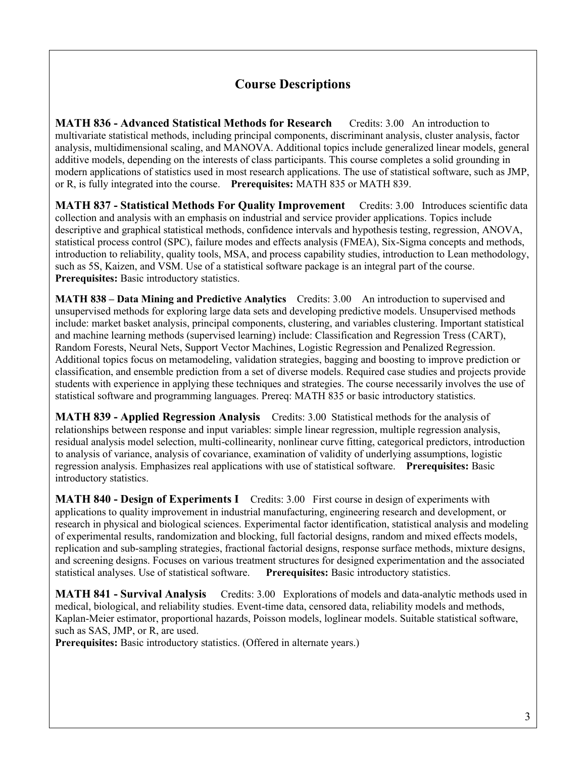### **Course Descriptions**

**MATH 836 - Advanced Statistical Methods for Research** Credits: 3.00 An introduction to multivariate statistical methods, including principal components, discriminant analysis, cluster analysis, factor analysis, multidimensional scaling, and MANOVA. Additional topics include generalized linear models, general additive models, depending on the interests of class participants. This course completes a solid grounding in modern applications of statistics used in most research applications. The use of statistical software, such as JMP, or R, is fully integrated into the course. **Prerequisites:** MATH 835 or MATH 839.

**MATH 837 - Statistical Methods For Quality Improvement** Credits: 3.00 Introduces scientific data collection and analysis with an emphasis on industrial and service provider applications. Topics include descriptive and graphical statistical methods, confidence intervals and hypothesis testing, regression, ANOVA, statistical process control (SPC), failure modes and effects analysis (FMEA), Six-Sigma concepts and methods, introduction to reliability, quality tools, MSA, and process capability studies, introduction to Lean methodology, such as 5S, Kaizen, and VSM. Use of a statistical software package is an integral part of the course. **Prerequisites:** Basic introductory statistics.

**MATH 838 – Data Mining and Predictive Analytics** Credits: 3.00 An introduction to supervised and unsupervised methods for exploring large data sets and developing predictive models. Unsupervised methods include: market basket analysis, principal components, clustering, and variables clustering. Important statistical and machine learning methods (supervised learning) include: Classification and Regression Tress (CART), Random Forests, Neural Nets, Support Vector Machines, Logistic Regression and Penalized Regression. Additional topics focus on metamodeling, validation strategies, bagging and boosting to improve prediction or classification, and ensemble prediction from a set of diverse models. Required case studies and projects provide students with experience in applying these techniques and strategies. The course necessarily involves the use of statistical software and programming languages. Prereq: MATH 835 or basic introductory statistics.

**MATH 839 - Applied Regression Analysis** Credits: 3.00 Statistical methods for the analysis of relationships between response and input variables: simple linear regression, multiple regression analysis, residual analysis model selection, multi-collinearity, nonlinear curve fitting, categorical predictors, introduction to analysis of variance, analysis of covariance, examination of validity of underlying assumptions, logistic regression analysis. Emphasizes real applications with use of statistical software. **Prerequisites:** Basic introductory statistics.

**MATH 840 - Design of Experiments I** Credits: 3.00 First course in design of experiments with applications to quality improvement in industrial manufacturing, engineering research and development, or research in physical and biological sciences. Experimental factor identification, statistical analysis and modeling of experimental results, randomization and blocking, full factorial designs, random and mixed effects models, replication and sub-sampling strategies, fractional factorial designs, response surface methods, mixture designs, and screening designs. Focuses on various treatment structures for designed experimentation and the associated statistical analyses. Use of statistical software. **Prerequisites:** Basic introductory statistics.

**MATH 841 - Survival Analysis** Credits: 3.00 Explorations of models and data-analytic methods used in medical, biological, and reliability studies. Event-time data, censored data, reliability models and methods, Kaplan-Meier estimator, proportional hazards, Poisson models, loglinear models. Suitable statistical software, such as SAS, JMP, or R, are used.

**Prerequisites:** Basic introductory statistics. (Offered in alternate years.)